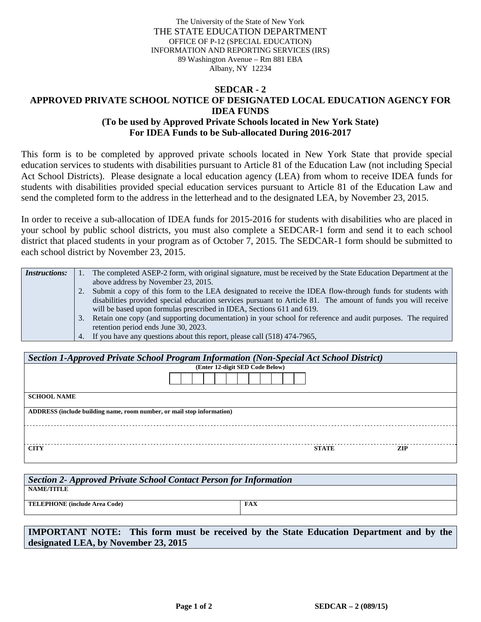The University of the State of New York THE STATE EDUCATION DEPARTMENT OFFICE OF P-12 (SPECIAL EDUCATION) INFORMATION AND REPORTING SERVICES (IRS) 89 Washington Avenue – Rm 881 EBA Albany, NY 12234

## **SEDCAR - 2 APPROVED PRIVATE SCHOOL NOTICE OF DESIGNATED LOCAL EDUCATION AGENCY FOR IDEA FUNDS (To be used by Approved Private Schools located in New York State) For IDEA Funds to be Sub-allocated During 2016-2017**

This form is to be completed by approved private schools located in New York State that provide special education services to students with disabilities pursuant to Article 81 of the Education Law (not including Special Act School Districts). Please designate a local education agency (LEA) from whom to receive IDEA funds for students with disabilities provided special education services pursuant to Article 81 of the Education Law and send the completed form to the address in the letterhead and to the designated LEA, by November 23, 2015.

In order to receive a sub-allocation of IDEA funds for 2015-2016 for students with disabilities who are placed in your school by public school districts, you must also complete a SEDCAR-1 form and send it to each school district that placed students in your program as of October 7, 2015. The SEDCAR-1 form should be submitted to each school district by November 23, 2015.

| <i>Instructions:</i> |    | The completed ASEP-2 form, with original signature, must be received by the State Education Department at the |
|----------------------|----|---------------------------------------------------------------------------------------------------------------|
|                      |    | above address by November 23, 2015.                                                                           |
|                      |    | Submit a copy of this form to the LEA designated to receive the IDEA flow-through funds for students with     |
|                      |    | disabilities provided special education services pursuant to Article 81. The amount of funds you will receive |
|                      |    | will be based upon formulas prescribed in IDEA, Sections 611 and 619.                                         |
|                      | 3. | Retain one copy (and supporting documentation) in your school for reference and audit purposes. The required  |
|                      |    | retention period ends June 30, 2023.                                                                          |
|                      |    | 4. If you have any questions about this report, please call (518) 474-7965,                                   |

| Section 1-Approved Private School Program Information (Non-Special Act School District) |                                 |  |  |  |  |  |  |
|-----------------------------------------------------------------------------------------|---------------------------------|--|--|--|--|--|--|
|                                                                                         | (Enter 12-digit SED Code Below) |  |  |  |  |  |  |
|                                                                                         |                                 |  |  |  |  |  |  |
| <b>SCHOOL NAME</b>                                                                      |                                 |  |  |  |  |  |  |
| ADDRESS (include building name, room number, or mail stop information)                  |                                 |  |  |  |  |  |  |
|                                                                                         |                                 |  |  |  |  |  |  |
| <b>CITY</b>                                                                             | <b>ZIP</b><br><b>STATE</b>      |  |  |  |  |  |  |

| Section 2- Approved Private School Contact Person for Information |            |  |  |  |  |
|-------------------------------------------------------------------|------------|--|--|--|--|
| NAME/TITLE                                                        |            |  |  |  |  |
| <b>TELEPHONE</b> (include Area Code)                              | <b>FAX</b> |  |  |  |  |
|                                                                   |            |  |  |  |  |

**IMPORTANT NOTE: This form must be received by the State Education Department and by the designated LEA, by November 23, 2015**